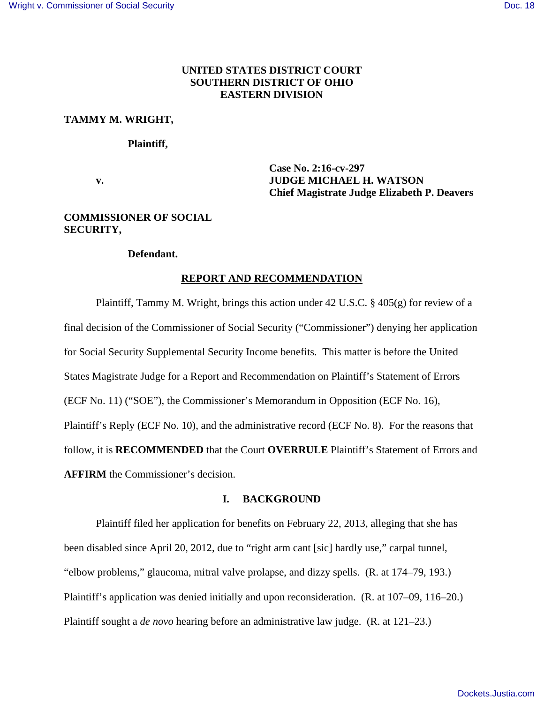# **UNITED STATES DISTRICT COURT SOUTHERN DISTRICT OF OHIO EASTERN DIVISION**

### **TAMMY M. WRIGHT,**

### **Plaintiff,**

 **Case No. 2:16-cv-297 v. JUDGE MICHAEL H. WATSON Chief Magistrate Judge Elizabeth P. Deavers** 

# **COMMISSIONER OF SOCIAL SECURITY,**

## **Defendant.**

# **REPORT AND RECOMMENDATION**

 Plaintiff, Tammy M. Wright, brings this action under 42 U.S.C. § 405(g) for review of a final decision of the Commissioner of Social Security ("Commissioner") denying her application for Social Security Supplemental Security Income benefits. This matter is before the United States Magistrate Judge for a Report and Recommendation on Plaintiff's Statement of Errors (ECF No. 11) ("SOE"), the Commissioner's Memorandum in Opposition (ECF No. 16), Plaintiff's Reply (ECF No. 10), and the administrative record (ECF No. 8). For the reasons that follow, it is **RECOMMENDED** that the Court **OVERRULE** Plaintiff's Statement of Errors and **AFFIRM** the Commissioner's decision.

# **I. BACKGROUND**

Plaintiff filed her application for benefits on February 22, 2013, alleging that she has been disabled since April 20, 2012, due to "right arm cant [sic] hardly use," carpal tunnel, "elbow problems," glaucoma, mitral valve prolapse, and dizzy spells. (R. at 174–79, 193.) Plaintiff's application was denied initially and upon reconsideration. (R. at 107–09, 116–20.) Plaintiff sought a *de novo* hearing before an administrative law judge. (R. at 121–23.)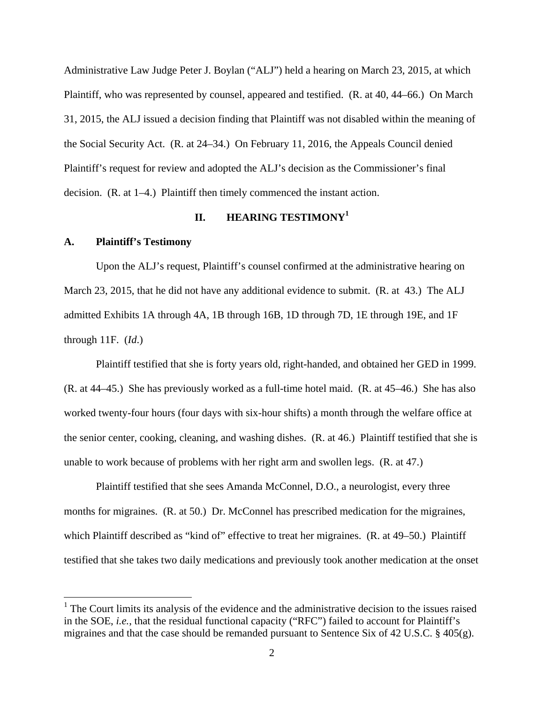Administrative Law Judge Peter J. Boylan ("ALJ") held a hearing on March 23, 2015, at which Plaintiff, who was represented by counsel, appeared and testified. (R. at 40, 44–66.) On March 31, 2015, the ALJ issued a decision finding that Plaintiff was not disabled within the meaning of the Social Security Act. (R. at 24–34.) On February 11, 2016, the Appeals Council denied Plaintiff's request for review and adopted the ALJ's decision as the Commissioner's final decision. (R. at 1–4.) Plaintiff then timely commenced the instant action.

# **II. HEARING TESTIMONY<sup>1</sup>**

#### **A. Plaintiff's Testimony**

 $\overline{a}$ 

 Upon the ALJ's request, Plaintiff's counsel confirmed at the administrative hearing on March 23, 2015, that he did not have any additional evidence to submit. (R. at 43.) The ALJ admitted Exhibits 1A through 4A, 1B through 16B, 1D through 7D, 1E through 19E, and 1F through 11F. (*Id*.)

Plaintiff testified that she is forty years old, right-handed, and obtained her GED in 1999. (R. at 44–45.) She has previously worked as a full-time hotel maid. (R. at 45–46.) She has also worked twenty-four hours (four days with six-hour shifts) a month through the welfare office at the senior center, cooking, cleaning, and washing dishes. (R. at 46.) Plaintiff testified that she is unable to work because of problems with her right arm and swollen legs. (R. at 47.)

Plaintiff testified that she sees Amanda McConnel, D.O., a neurologist, every three months for migraines. (R. at 50.) Dr. McConnel has prescribed medication for the migraines, which Plaintiff described as "kind of" effective to treat her migraines. (R. at 49–50.) Plaintiff testified that she takes two daily medications and previously took another medication at the onset

 $<sup>1</sup>$  The Court limits its analysis of the evidence and the administrative decision to the issues raised</sup> in the SOE, *i.e.*, that the residual functional capacity ("RFC") failed to account for Plaintiff's migraines and that the case should be remanded pursuant to Sentence Six of 42 U.S.C. § 405(g).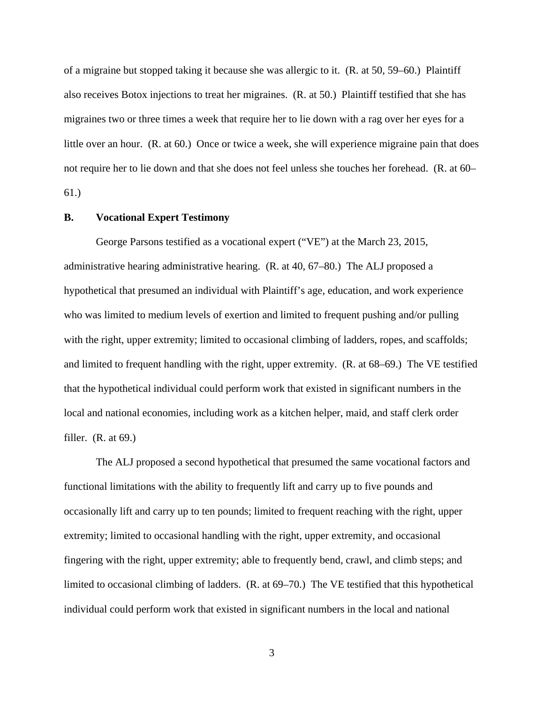of a migraine but stopped taking it because she was allergic to it. (R. at 50, 59–60.) Plaintiff also receives Botox injections to treat her migraines. (R. at 50.) Plaintiff testified that she has migraines two or three times a week that require her to lie down with a rag over her eyes for a little over an hour. (R. at 60.) Once or twice a week, she will experience migraine pain that does not require her to lie down and that she does not feel unless she touches her forehead. (R. at 60– 61.)

## **B. Vocational Expert Testimony**

 George Parsons testified as a vocational expert ("VE") at the March 23, 2015, administrative hearing administrative hearing. (R. at 40, 67–80.) The ALJ proposed a hypothetical that presumed an individual with Plaintiff's age, education, and work experience who was limited to medium levels of exertion and limited to frequent pushing and/or pulling with the right, upper extremity; limited to occasional climbing of ladders, ropes, and scaffolds; and limited to frequent handling with the right, upper extremity. (R. at 68–69.) The VE testified that the hypothetical individual could perform work that existed in significant numbers in the local and national economies, including work as a kitchen helper, maid, and staff clerk order filler.  $(R. at 69.)$ 

The ALJ proposed a second hypothetical that presumed the same vocational factors and functional limitations with the ability to frequently lift and carry up to five pounds and occasionally lift and carry up to ten pounds; limited to frequent reaching with the right, upper extremity; limited to occasional handling with the right, upper extremity, and occasional fingering with the right, upper extremity; able to frequently bend, crawl, and climb steps; and limited to occasional climbing of ladders. (R. at 69–70.) The VE testified that this hypothetical individual could perform work that existed in significant numbers in the local and national

3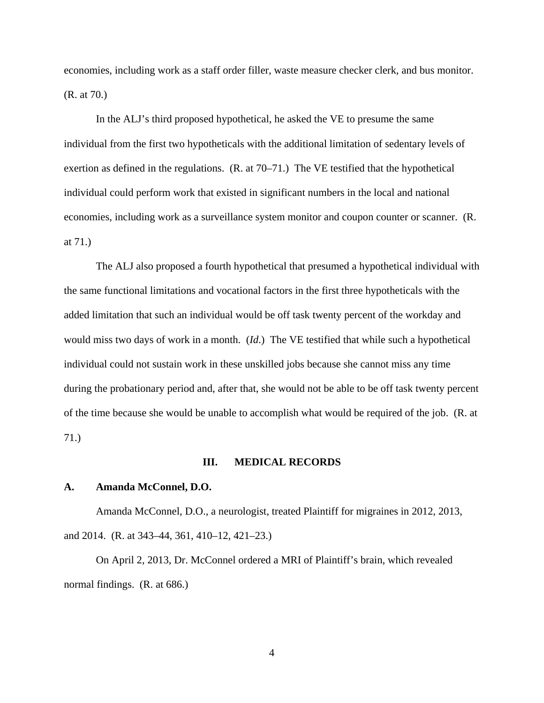economies, including work as a staff order filler, waste measure checker clerk, and bus monitor. (R. at 70.)

In the ALJ's third proposed hypothetical, he asked the VE to presume the same individual from the first two hypotheticals with the additional limitation of sedentary levels of exertion as defined in the regulations. (R. at 70–71.) The VE testified that the hypothetical individual could perform work that existed in significant numbers in the local and national economies, including work as a surveillance system monitor and coupon counter or scanner. (R. at 71.)

The ALJ also proposed a fourth hypothetical that presumed a hypothetical individual with the same functional limitations and vocational factors in the first three hypotheticals with the added limitation that such an individual would be off task twenty percent of the workday and would miss two days of work in a month. (*Id*.) The VE testified that while such a hypothetical individual could not sustain work in these unskilled jobs because she cannot miss any time during the probationary period and, after that, she would not be able to be off task twenty percent of the time because she would be unable to accomplish what would be required of the job. (R. at 71.)

#### **III. MEDICAL RECORDS**

### **A. Amanda McConnel, D.O.**

 Amanda McConnel, D.O., a neurologist, treated Plaintiff for migraines in 2012, 2013, and 2014. (R. at 343–44, 361, 410–12, 421–23.)

 On April 2, 2013, Dr. McConnel ordered a MRI of Plaintiff's brain, which revealed normal findings. (R. at 686.)

4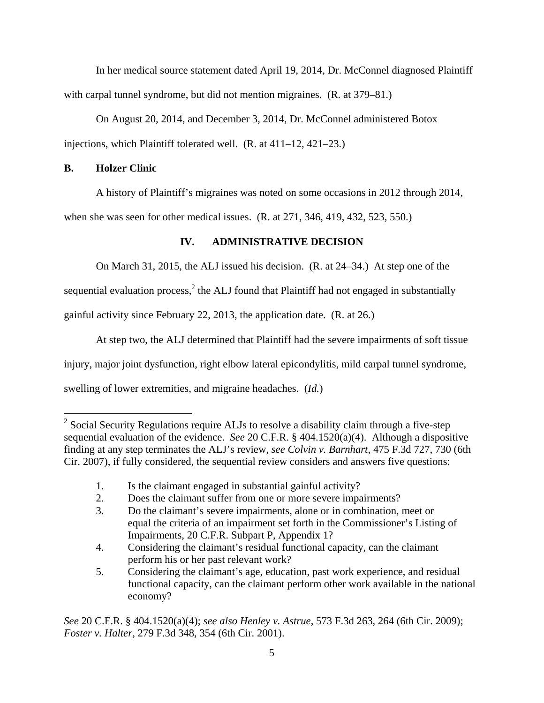In her medical source statement dated April 19, 2014, Dr. McConnel diagnosed Plaintiff with carpal tunnel syndrome, but did not mention migraines. (R. at 379–81.)

 On August 20, 2014, and December 3, 2014, Dr. McConnel administered Botox injections, which Plaintiff tolerated well. (R. at 411–12, 421–23.)

# **B. Holzer Clinic**

A history of Plaintiff's migraines was noted on some occasions in 2012 through 2014,

when she was seen for other medical issues. (R. at 271, 346, 419, 432, 523, 550.)

# **IV. ADMINISTRATIVE DECISION**

On March 31, 2015, the ALJ issued his decision. (R. at 24–34.) At step one of the

sequential evaluation process, $<sup>2</sup>$  the ALJ found that Plaintiff had not engaged in substantially</sup>

gainful activity since February 22, 2013, the application date. (R. at 26.)

 At step two, the ALJ determined that Plaintiff had the severe impairments of soft tissue injury, major joint dysfunction, right elbow lateral epicondylitis, mild carpal tunnel syndrome, swelling of lower extremities, and migraine headaches. (*Id.*)

*See* 20 C.F.R. § 404.1520(a)(4); *see also Henley v. Astrue*, 573 F.3d 263, 264 (6th Cir. 2009); *Foster v. Halter*, 279 F.3d 348, 354 (6th Cir. 2001).

<sup>&</sup>lt;sup>2</sup> Social Security Regulations require ALJs to resolve a disability claim through a five-step sequential evaluation of the evidence. *See* 20 C.F.R. § 404.1520(a)(4). Although a dispositive finding at any step terminates the ALJ's review, *see Colvin v. Barnhart*, 475 F.3d 727, 730 (6th Cir. 2007), if fully considered, the sequential review considers and answers five questions:

 <sup>1.</sup> Is the claimant engaged in substantial gainful activity?

 <sup>2.</sup> Does the claimant suffer from one or more severe impairments?

 <sup>3.</sup> Do the claimant's severe impairments, alone or in combination, meet or equal the criteria of an impairment set forth in the Commissioner's Listing of Impairments, 20 C.F.R. Subpart P, Appendix 1?

 <sup>4.</sup> Considering the claimant's residual functional capacity, can the claimant perform his or her past relevant work?<br>5. Considering the claimant's age, educat

 <sup>5.</sup> Considering the claimant's age, education, past work experience, and residual functional capacity, can the claimant perform other work available in the national economy?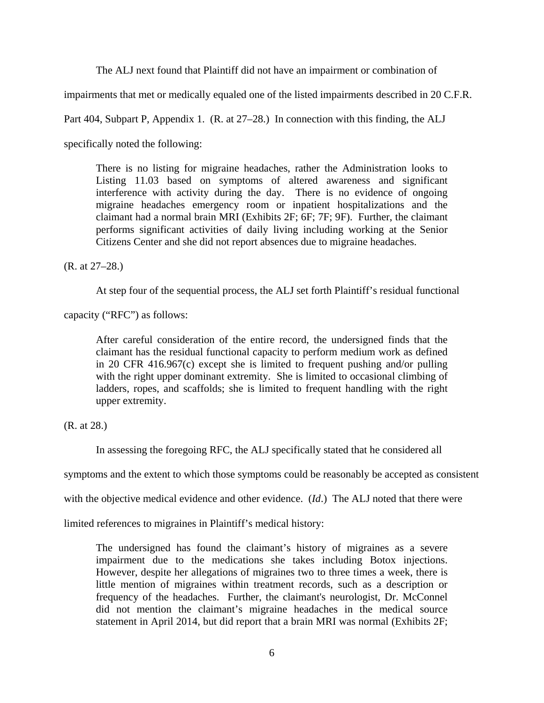The ALJ next found that Plaintiff did not have an impairment or combination of

impairments that met or medically equaled one of the listed impairments described in 20 C.F.R.

Part 404, Subpart P, Appendix 1. (R. at 27–28.) In connection with this finding, the ALJ

specifically noted the following:

There is no listing for migraine headaches, rather the Administration looks to Listing 11.03 based on symptoms of altered awareness and significant interference with activity during the day. There is no evidence of ongoing migraine headaches emergency room or inpatient hospitalizations and the claimant had a normal brain MRI (Exhibits 2F; 6F; 7F; 9F). Further, the claimant performs significant activities of daily living including working at the Senior Citizens Center and she did not report absences due to migraine headaches.

(R. at 27–28.)

At step four of the sequential process, the ALJ set forth Plaintiff's residual functional

capacity ("RFC") as follows:

After careful consideration of the entire record, the undersigned finds that the claimant has the residual functional capacity to perform medium work as defined in 20 CFR 416.967(c) except she is limited to frequent pushing and/or pulling with the right upper dominant extremity. She is limited to occasional climbing of ladders, ropes, and scaffolds; she is limited to frequent handling with the right upper extremity.

(R. at 28.)

In assessing the foregoing RFC, the ALJ specifically stated that he considered all

symptoms and the extent to which those symptoms could be reasonably be accepted as consistent

with the objective medical evidence and other evidence. (*Id*.) The ALJ noted that there were

limited references to migraines in Plaintiff's medical history:

The undersigned has found the claimant's history of migraines as a severe impairment due to the medications she takes including Botox injections. However, despite her allegations of migraines two to three times a week, there is little mention of migraines within treatment records, such as a description or frequency of the headaches. Further, the claimant's neurologist, Dr. McConnel did not mention the claimant's migraine headaches in the medical source statement in April 2014, but did report that a brain MRI was normal (Exhibits 2F;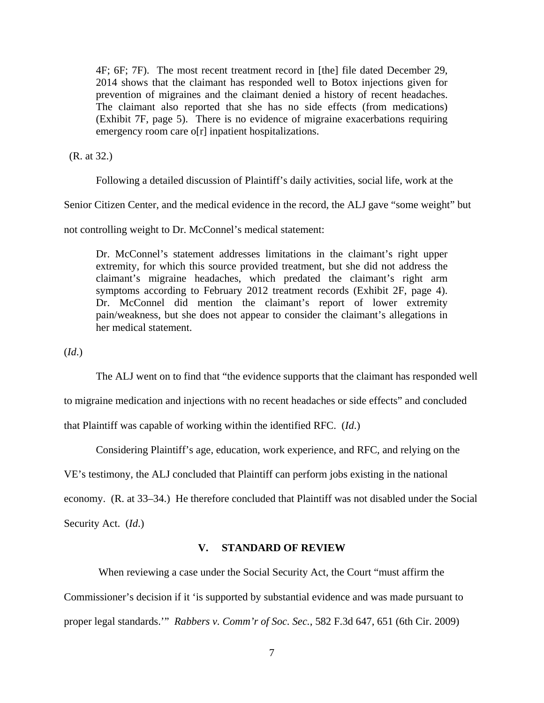4F; 6F; 7F). The most recent treatment record in [the] file dated December 29, 2014 shows that the claimant has responded well to Botox injections given for prevention of migraines and the claimant denied a history of recent headaches. The claimant also reported that she has no side effects (from medications) (Exhibit 7F, page 5). There is no evidence of migraine exacerbations requiring emergency room care o[r] inpatient hospitalizations.

(R. at 32.)

Following a detailed discussion of Plaintiff's daily activities, social life, work at the

Senior Citizen Center, and the medical evidence in the record, the ALJ gave "some weight" but

not controlling weight to Dr. McConnel's medical statement:

Dr. McConnel's statement addresses limitations in the claimant's right upper extremity, for which this source provided treatment, but she did not address the claimant's migraine headaches, which predated the claimant's right arm symptoms according to February 2012 treatment records (Exhibit 2F, page 4). Dr. McConnel did mention the claimant's report of lower extremity pain/weakness, but she does not appear to consider the claimant's allegations in her medical statement.

(*Id*.)

The ALJ went on to find that "the evidence supports that the claimant has responded well

to migraine medication and injections with no recent headaches or side effects" and concluded

that Plaintiff was capable of working within the identified RFC. (*Id*.)

Considering Plaintiff's age, education, work experience, and RFC, and relying on the

VE's testimony, the ALJ concluded that Plaintiff can perform jobs existing in the national

economy. (R. at 33–34.) He therefore concluded that Plaintiff was not disabled under the Social

Security Act. (*Id*.)

# **V. STANDARD OF REVIEW**

 When reviewing a case under the Social Security Act, the Court "must affirm the Commissioner's decision if it 'is supported by substantial evidence and was made pursuant to proper legal standards.'" *Rabbers v. Comm'r of Soc. Sec.*, 582 F.3d 647, 651 (6th Cir. 2009)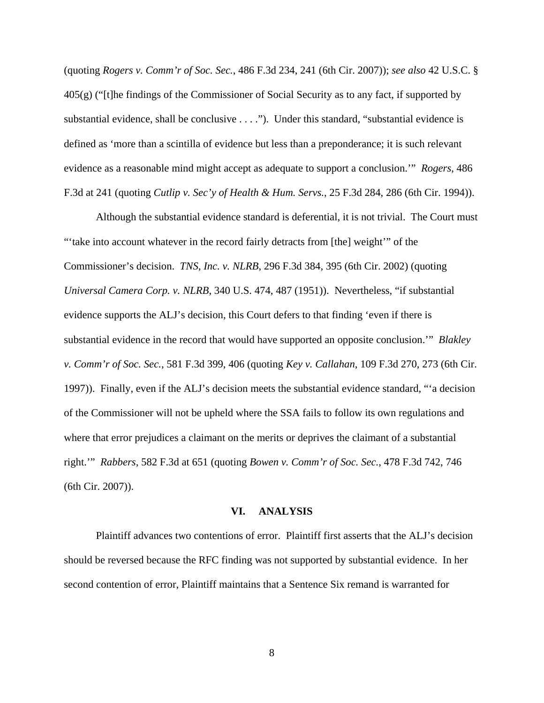(quoting *Rogers v. Comm'r of Soc. Sec.*, 486 F.3d 234, 241 (6th Cir. 2007)); *see also* 42 U.S.C. §  $405(g)$  ("[t]he findings of the Commissioner of Social Security as to any fact, if supported by substantial evidence, shall be conclusive . . . ."). Under this standard, "substantial evidence is defined as 'more than a scintilla of evidence but less than a preponderance; it is such relevant evidence as a reasonable mind might accept as adequate to support a conclusion.'" *Rogers*, 486 F.3d at 241 (quoting *Cutlip v. Sec'y of Health & Hum. Servs.*, 25 F.3d 284, 286 (6th Cir. 1994)).

 Although the substantial evidence standard is deferential, it is not trivial. The Court must "'take into account whatever in the record fairly detracts from [the] weight'" of the Commissioner's decision. *TNS, Inc. v. NLRB*, 296 F.3d 384, 395 (6th Cir. 2002) (quoting *Universal Camera Corp. v. NLRB*, 340 U.S. 474, 487 (1951)). Nevertheless, "if substantial evidence supports the ALJ's decision, this Court defers to that finding 'even if there is substantial evidence in the record that would have supported an opposite conclusion.'" *Blakley v. Comm'r of Soc. Sec.*, 581 F.3d 399, 406 (quoting *Key v. Callahan*, 109 F.3d 270, 273 (6th Cir. 1997)). Finally, even if the ALJ's decision meets the substantial evidence standard, "'a decision of the Commissioner will not be upheld where the SSA fails to follow its own regulations and where that error prejudices a claimant on the merits or deprives the claimant of a substantial right.'" *Rabbers*, 582 F.3d at 651 (quoting *Bowen v. Comm'r of Soc. Sec.*, 478 F.3d 742, 746 (6th Cir. 2007)).

#### **VI. ANALYSIS**

 Plaintiff advances two contentions of error. Plaintiff first asserts that the ALJ's decision should be reversed because the RFC finding was not supported by substantial evidence. In her second contention of error, Plaintiff maintains that a Sentence Six remand is warranted for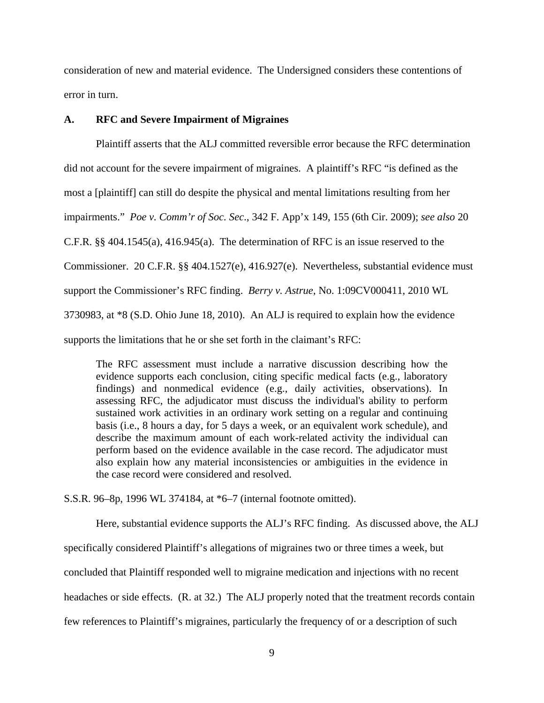consideration of new and material evidence. The Undersigned considers these contentions of error in turn.

## **A. RFC and Severe Impairment of Migraines**

 Plaintiff asserts that the ALJ committed reversible error because the RFC determination did not account for the severe impairment of migraines. A plaintiff's RFC "is defined as the most a [plaintiff] can still do despite the physical and mental limitations resulting from her impairments." *Poe v. Comm'r of Soc. Sec*., 342 F. App'x 149, 155 (6th Cir. 2009); *see also* 20 C.F.R.  $\S$ § 404.1545(a), 416.945(a). The determination of RFC is an issue reserved to the Commissioner. 20 C.F.R. §§ 404.1527(e), 416.927(e). Nevertheless, substantial evidence must support the Commissioner's RFC finding. *Berry v. Astrue*, No. 1:09CV000411, 2010 WL 3730983, at \*8 (S.D. Ohio June 18, 2010). An ALJ is required to explain how the evidence supports the limitations that he or she set forth in the claimant's RFC:

The RFC assessment must include a narrative discussion describing how the evidence supports each conclusion, citing specific medical facts (e.g., laboratory findings) and nonmedical evidence (e.g., daily activities, observations). In assessing RFC, the adjudicator must discuss the individual's ability to perform sustained work activities in an ordinary work setting on a regular and continuing basis (i.e., 8 hours a day, for 5 days a week, or an equivalent work schedule), and describe the maximum amount of each work-related activity the individual can perform based on the evidence available in the case record. The adjudicator must also explain how any material inconsistencies or ambiguities in the evidence in the case record were considered and resolved.

S.S.R. 96–8p, 1996 WL 374184, at \*6–7 (internal footnote omitted).

 Here, substantial evidence supports the ALJ's RFC finding. As discussed above, the ALJ specifically considered Plaintiff's allegations of migraines two or three times a week, but concluded that Plaintiff responded well to migraine medication and injections with no recent headaches or side effects. (R. at 32.) The ALJ properly noted that the treatment records contain few references to Plaintiff's migraines, particularly the frequency of or a description of such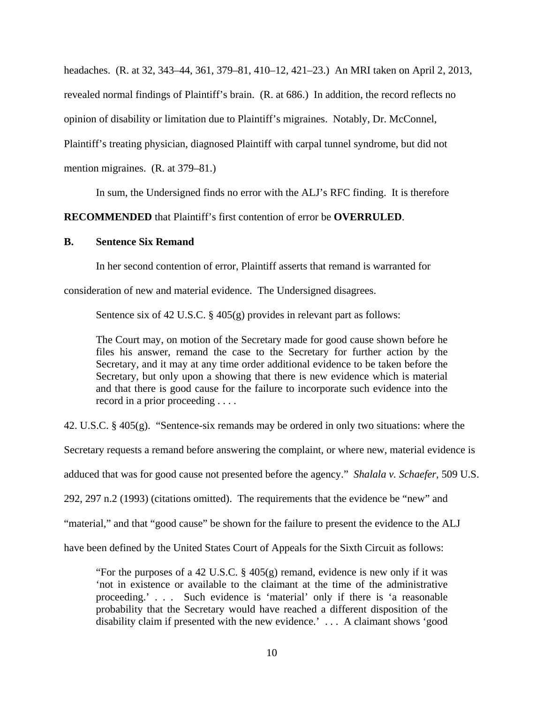headaches. (R. at 32, 343–44, 361, 379–81, 410–12, 421–23.) An MRI taken on April 2, 2013, revealed normal findings of Plaintiff's brain. (R. at 686.) In addition, the record reflects no opinion of disability or limitation due to Plaintiff's migraines. Notably, Dr. McConnel, Plaintiff's treating physician, diagnosed Plaintiff with carpal tunnel syndrome, but did not mention migraines. (R. at 379–81.)

In sum, the Undersigned finds no error with the ALJ's RFC finding. It is therefore

**RECOMMENDED** that Plaintiff's first contention of error be **OVERRULED**.

# **B. Sentence Six Remand**

In her second contention of error, Plaintiff asserts that remand is warranted for

consideration of new and material evidence. The Undersigned disagrees.

Sentence six of 42 U.S.C. § 405(g) provides in relevant part as follows:

The Court may, on motion of the Secretary made for good cause shown before he files his answer, remand the case to the Secretary for further action by the Secretary, and it may at any time order additional evidence to be taken before the Secretary, but only upon a showing that there is new evidence which is material and that there is good cause for the failure to incorporate such evidence into the record in a prior proceeding . . . .

42. U.S.C. § 405(g). "Sentence-six remands may be ordered in only two situations: where the

Secretary requests a remand before answering the complaint, or where new, material evidence is

adduced that was for good cause not presented before the agency." *Shalala v. Schaefer*, 509 U.S.

292, 297 n.2 (1993) (citations omitted). The requirements that the evidence be "new" and

"material," and that "good cause" be shown for the failure to present the evidence to the ALJ

have been defined by the United States Court of Appeals for the Sixth Circuit as follows:

"For the purposes of a 42 U.S.C. § 405(g) remand, evidence is new only if it was 'not in existence or available to the claimant at the time of the administrative proceeding.' . . . Such evidence is 'material' only if there is 'a reasonable probability that the Secretary would have reached a different disposition of the disability claim if presented with the new evidence.' . . . A claimant shows 'good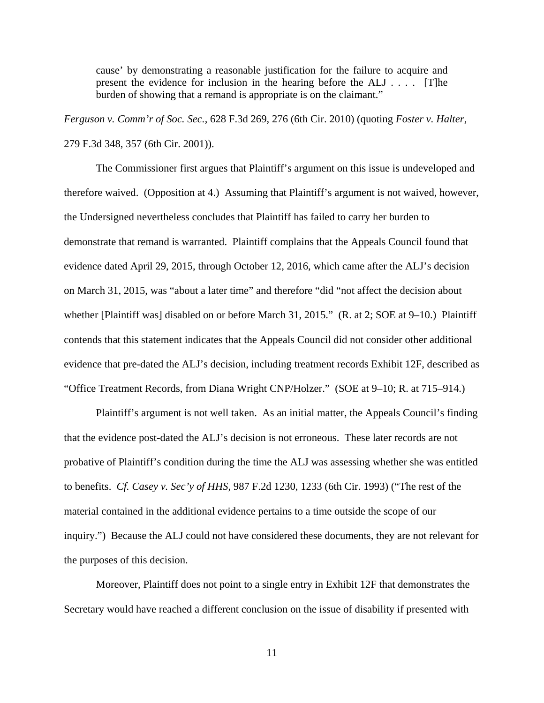cause' by demonstrating a reasonable justification for the failure to acquire and present the evidence for inclusion in the hearing before the ALJ . . . . [T]he burden of showing that a remand is appropriate is on the claimant."

*Ferguson v. Comm'r of Soc. Sec.*, 628 F.3d 269, 276 (6th Cir. 2010) (quoting *Foster v. Halter*, 279 F.3d 348, 357 (6th Cir. 2001)).

 The Commissioner first argues that Plaintiff's argument on this issue is undeveloped and therefore waived. (Opposition at 4.) Assuming that Plaintiff's argument is not waived, however, the Undersigned nevertheless concludes that Plaintiff has failed to carry her burden to demonstrate that remand is warranted. Plaintiff complains that the Appeals Council found that evidence dated April 29, 2015, through October 12, 2016, which came after the ALJ's decision on March 31, 2015, was "about a later time" and therefore "did "not affect the decision about whether [Plaintiff was] disabled on or before March 31, 2015." (R. at 2; SOE at 9–10.) Plaintiff contends that this statement indicates that the Appeals Council did not consider other additional evidence that pre-dated the ALJ's decision, including treatment records Exhibit 12F, described as "Office Treatment Records, from Diana Wright CNP/Holzer." (SOE at 9–10; R. at 715–914.)

 Plaintiff's argument is not well taken. As an initial matter, the Appeals Council's finding that the evidence post-dated the ALJ's decision is not erroneous. These later records are not probative of Plaintiff's condition during the time the ALJ was assessing whether she was entitled to benefits. *Cf. Casey v. Sec'y of HHS*, 987 F.2d 1230, 1233 (6th Cir. 1993) ("The rest of the material contained in the additional evidence pertains to a time outside the scope of our inquiry.") Because the ALJ could not have considered these documents, they are not relevant for the purposes of this decision.

 Moreover, Plaintiff does not point to a single entry in Exhibit 12F that demonstrates the Secretary would have reached a different conclusion on the issue of disability if presented with

11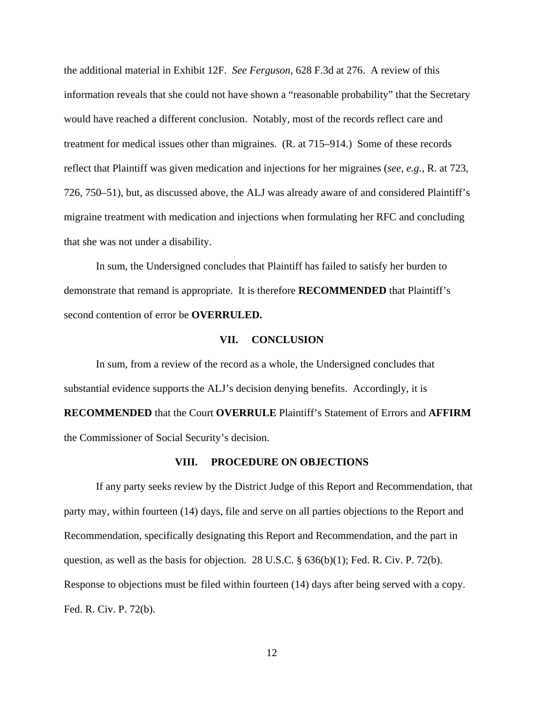the additional material in Exhibit 12F. *See Ferguson*, 628 F.3d at 276. A review of this information reveals that she could not have shown a "reasonable probability" that the Secretary would have reached a different conclusion. Notably, most of the records reflect care and treatment for medical issues other than migraines. (R. at 715–914.) Some of these records reflect that Plaintiff was given medication and injections for her migraines (*see, e.g.*, R. at 723, 726, 750–51), but, as discussed above, the ALJ was already aware of and considered Plaintiff's migraine treatment with medication and injections when formulating her RFC and concluding that she was not under a disability.

 In sum, the Undersigned concludes that Plaintiff has failed to satisfy her burden to demonstrate that remand is appropriate. It is therefore **RECOMMENDED** that Plaintiff's second contention of error be **OVERRULED.**

## **VII. CONCLUSION**

 In sum, from a review of the record as a whole, the Undersigned concludes that substantial evidence supports the ALJ's decision denying benefits. Accordingly, it is **RECOMMENDED** that the Court **OVERRULE** Plaintiff's Statement of Errors and **AFFIRM** the Commissioner of Social Security's decision.

#### **VIII. PROCEDURE ON OBJECTIONS**

 If any party seeks review by the District Judge of this Report and Recommendation, that party may, within fourteen (14) days, file and serve on all parties objections to the Report and Recommendation, specifically designating this Report and Recommendation, and the part in question, as well as the basis for objection. 28 U.S.C. § 636(b)(1); Fed. R. Civ. P. 72(b). Response to objections must be filed within fourteen (14) days after being served with a copy. Fed. R. Civ. P. 72(b).